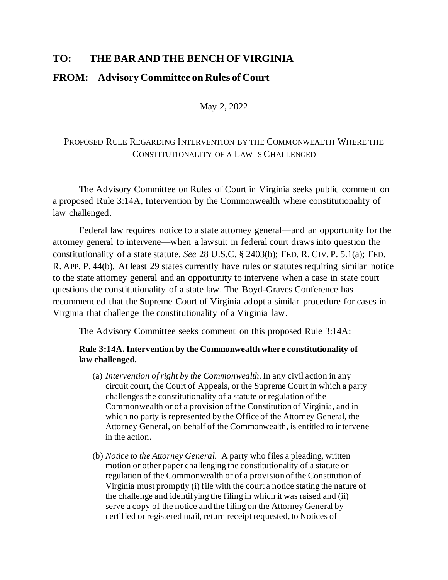## **TO: THE BAR AND THE BENCH OF VIRGINIA**

## **FROM: Advisory Committee on Rules of Court**

May 2, 2022

## PROPOSED RULE REGARDING INTERVENTION BY THE COMMONWEALTH WHERE THE CONSTITUTIONALITY OF A LAW IS CHALLENGED

The Advisory Committee on Rules of Court in Virginia seeks public comment on a proposed Rule 3:14A, Intervention by the Commonwealth where constitutionality of law challenged.

Federal law requires notice to a state attorney general—and an opportunity for the attorney general to intervene—when a lawsuit in federal court draws into question the constitutionality of a state statute. *See* 28 U.S.C. § 2403(b); FED. R. CIV. P. 5.1(a); FED. R. APP. P. 44(b). At least 29 states currently have rules or statutes requiring similar notice to the state attorney general and an opportunity to intervene when a case in state court questions the constitutionality of a state law. The Boyd-Graves Conference has recommended that the Supreme Court of Virginia adopt a similar procedure for cases in Virginia that challenge the constitutionality of a Virginia law.

The Advisory Committee seeks comment on this proposed Rule 3:14A:

## **Rule 3:14A. Intervention by the Commonwealth where constitutionality of law challenged.**

- (a) *Intervention of right by the Commonwealth.* In any civil action in any circuit court, the Court of Appeals, or the Supreme Court in which a party challenges the constitutionality of a statute or regulation of the Commonwealth or of a provision of the Constitution of Virginia, and in which no party is represented by the Office of the Attorney General, the Attorney General, on behalf of the Commonwealth, is entitled to intervene in the action.
- (b) *Notice to the Attorney General.* A party who files a pleading, written motion or other paper challenging the constitutionality of a statute or regulation of the Commonwealth or of a provision of the Constitution of Virginia must promptly (i) file with the court a notice stating the nature of the challenge and identifying the filing in which it was raised and (ii) serve a copy of the notice and the filing on the Attorney General by certified or registered mail, return receipt requested, to Notices of